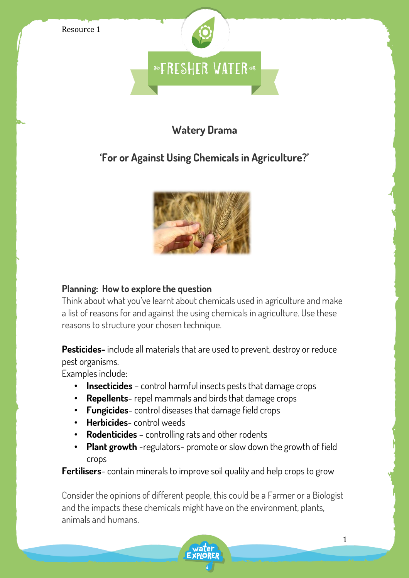

### **Watery Drama**

# **'For or Against Using Chemicals in Agriculture?'**



#### **Planning: How to explore the question**

Think about what you've learnt about chemicals used in agriculture and make a list of reasons for and against the using chemicals in agriculture. Use these reasons to structure your chosen technique.

**Pesticides-** include all materials that are used to prevent, destroy or reduce pest organisms.

Examples include:

- **Insecticides** control harmful insects pests that damage crops
- **Repellents** repel mammals and birds that damage crops
- **Fungicides** control diseases that damage field crops
- **Herbicides** control weeds
- **Rodenticides**  controlling rats and other rodents
- **Plant growth** -regulators- promote or slow down the growth of field crops

**Fertilisers**- contain minerals to improve soil quality and help crops to grow

Consider the opinions of different people, this could be a Farmer or a Biologist and the impacts these chemicals might have on the environment, plants, animals and humans.

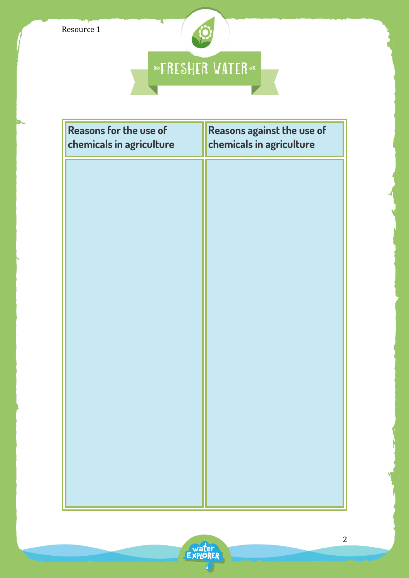

| <b>Reasons for the use of</b><br>chemicals in agriculture | Reasons against the use of<br>chemicals in agriculture |
|-----------------------------------------------------------|--------------------------------------------------------|
|                                                           |                                                        |
|                                                           |                                                        |
|                                                           |                                                        |
|                                                           |                                                        |
|                                                           |                                                        |
|                                                           |                                                        |
|                                                           |                                                        |
|                                                           |                                                        |
|                                                           |                                                        |
|                                                           |                                                        |